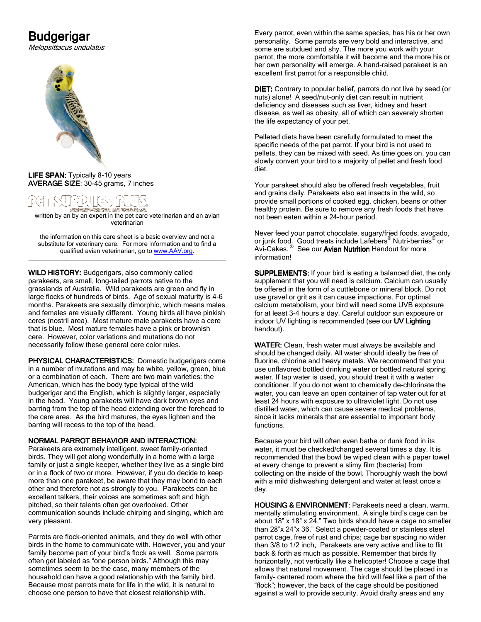# **Budgerigar**

Melopsittacus undulatus



LIFE SPAN: Typically 8-10 years AVERAGE SIZE: 30-45 grams, 7 inches

written by an by an expert in the pet care veterinarian and an avian veterinarian

the information on this care sheet is a basic overview and not a substitute for veterinary care. For more information and to find a qualified avian veterinarian, go to www.AAV.org. \_\_\_\_\_\_\_\_\_\_\_\_\_\_\_\_\_\_\_\_\_\_\_\_\_\_\_\_\_\_\_\_\_\_\_\_\_\_\_\_\_\_\_\_\_\_\_\_\_\_\_\_\_\_\_\_\_

WILD HISTORY: Budgerigars, also commonly called parakeets, are small, long-tailed parrots native to the grasslands of Australia. Wild parakeets are green and fly in large flocks of hundreds of birds. Age of sexual maturity is 4-6 months. Parakeets are sexually dimorphic, which means males and females are visually different. Young birds all have pinkish ceres (nostril area). Most mature male parakeets have a cere that is blue. Most mature females have a pink or brownish cere. However, color variations and mutations do not necessarily follow these general cere color rules.

PHYSICAL CHARACTERISTICS: Domestic budgerigars come in a number of mutations and may be white, yellow, green, blue or a combination of each. There are two main varieties: the American, which has the body type typical of the wild budgerigar and the English, which is slightly larger, especially in the head. Young parakeets will have dark brown eyes and barring from the top of the head extending over the forehead to the cere area. As the bird matures, the eyes lighten and the barring will recess to the top of the head.

# NORMAL PARROT BEHAVIOR AND INTERACTION:

Parakeets are extremely intelligent, sweet family-oriented birds. They will get along wonderfully in a home with a large family or just a single keeper, whether they live as a single bird or in a flock of two or more. However, if you do decide to keep more than one parakeet, be aware that they may bond to each other and therefore not as strongly to you. Parakeets can be excellent talkers, their voices are sometimes soft and high pitched, so their talents often get overlooked. Other communication sounds include chirping and singing, which are very pleasant.

Parrots are flock-oriented animals, and they do well with other birds in the home to communicate with. However, you and your family become part of your bird's flock as well. Some parrots often get labeled as "one person birds." Although this may sometimes seem to be the case, many members of the household can have a good relationship with the family bird. Because most parrots mate for life in the wild, it is natural to choose one person to have that closest relationship with.

Every parrot, even within the same species, has his or her own personality. Some parrots are very bold and interactive, and some are subdued and shy. The more you work with your parrot, the more comfortable it will become and the more his or her own personality will emerge. A hand-raised parakeet is an excellent first parrot for a responsible child.

DIET: Contrary to popular belief, parrots do not live by seed (or nuts) alone! A seed/nut-only diet can result in nutrient deficiency and diseases such as liver, kidney and heart disease, as well as obesity, all of which can severely shorten the life expectancy of your pet.

Pelleted diets have been carefully formulated to meet the specific needs of the pet parrot. If your bird is not used to pellets, they can be mixed with seed. As time goes on, you can slowly convert your bird to a majority of pellet and fresh food diet.

Your parakeet should also be offered fresh vegetables, fruit and grains daily. Parakeets also eat insects in the wild, so provide small portions of cooked egg, chicken, beans or other healthy protein. Be sure to remove any fresh foods that have not been eaten within a 24-hour period.

Never feed your parrot chocolate, sugary/fried foods, avocado, or junk food. Good treats include Lafebers<sup>®</sup> Nutri-berries<sup>®</sup> or<br>Avi-Cakes. <sup>®</sup> See our **Avian Nutrition** Handout for more information!

**SUPPLEMENTS:** If your bird is eating a balanced diet, the only supplement that you will need is calcium. Calcium can usually be offered in the form of a cuttlebone or mineral block. Do not use gravel or grit as it can cause impactions. For optimal calcium metabolism, your bird will need some UVB exposure for at least 3-4 hours a day. Careful outdoor sun exposure or indoor UV lighting is recommended (see our UV Lighting handout).

WATER: Clean, fresh water must always be available and should be changed daily. All water should ideally be free of fluorine, chlorine and heavy metals. We recommend that you use unflavored bottled drinking water or bottled natural spring water. If tap water is used, you should treat it with a water conditioner. If you do not want to chemically de-chlorinate the water, you can leave an open container of tap water out for at least 24 hours with exposure to ultraviolet light. Do not use distilled water, which can cause severe medical problems, since it lacks minerals that are essential to important body functions.

Because your bird will often even bathe or dunk food in its water, it must be checked/changed several times a day. It is recommended that the bowl be wiped clean with a paper towel at every change to prevent a slimy film (bacteria) from collecting on the inside of the bowl. Thoroughly wash the bowl with a mild dishwashing detergent and water at least once a day.

HOUSING & ENVIRONMENT: Parakeets need a clean, warm, mentally stimulating environment. A single bird's cage can be about 18" x 18" x 24." Two birds should have a cage no smaller than 28"x 24"x 36." Select a powder-coated or stainless steel parrot cage, free of rust and chips; cage bar spacing no wider than 3/8 to 1/2 inch. Parakeets are very active and like to flit back & forth as much as possible. Remember that birds fly horizontally, not vertically like a helicopter! Choose a cage that allows that natural movement. The cage should be placed in a family- centered room where the bird will feel like a part of the "flock"; however, the back of the cage should be positioned against a wall to provide security. Avoid drafty areas and any